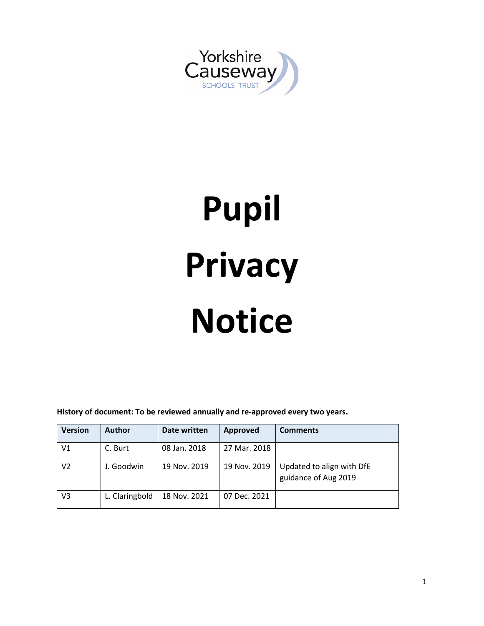

# **Pupil Privacy Notice**

**History of document: To be reviewed annually and re-approved every two years.**

| <b>Version</b> | <b>Author</b>  | Date written | <b>Approved</b> | <b>Comments</b>                                   |
|----------------|----------------|--------------|-----------------|---------------------------------------------------|
| V1             | C. Burt        | 08 Jan. 2018 | 27 Mar. 2018    |                                                   |
| V2             | J. Goodwin     | 19 Nov. 2019 | 19 Nov. 2019    | Updated to align with DfE<br>guidance of Aug 2019 |
| V3             | L. Claringbold | 18 Nov. 2021 | 07 Dec. 2021    |                                                   |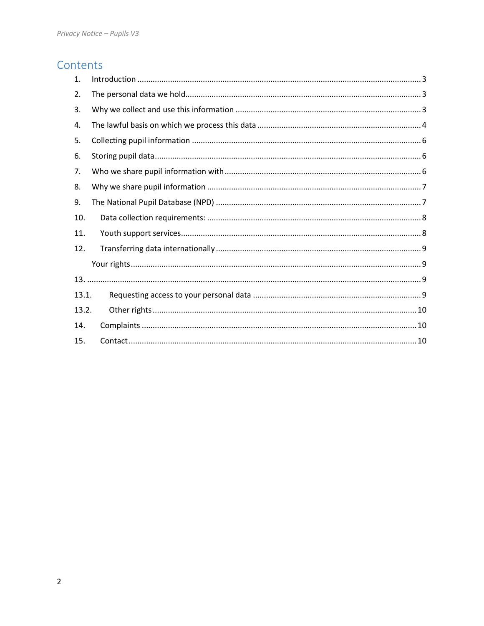# Contents

| 1.    |  |  |  |  |
|-------|--|--|--|--|
| 2.    |  |  |  |  |
| 3.    |  |  |  |  |
| 4.    |  |  |  |  |
| 5.    |  |  |  |  |
| 6.    |  |  |  |  |
| 7.    |  |  |  |  |
| 8.    |  |  |  |  |
| 9.    |  |  |  |  |
| 10.   |  |  |  |  |
| 11.   |  |  |  |  |
| 12.   |  |  |  |  |
|       |  |  |  |  |
|       |  |  |  |  |
| 13.1. |  |  |  |  |
| 13.2. |  |  |  |  |
| 14.   |  |  |  |  |
| 15.   |  |  |  |  |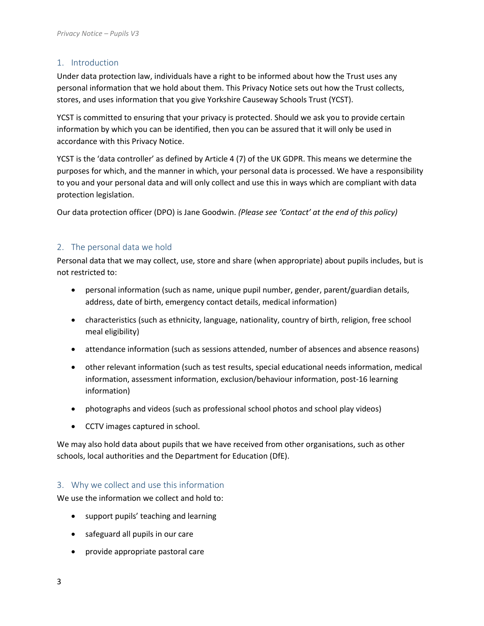# <span id="page-2-0"></span>1. Introduction

Under data protection law, individuals have a right to be informed about how the Trust uses any personal information that we hold about them. This Privacy Notice sets out how the Trust collects, stores, and uses information that you give Yorkshire Causeway Schools Trust (YCST).

YCST is committed to ensuring that your privacy is protected. Should we ask you to provide certain information by which you can be identified, then you can be assured that it will only be used in accordance with this Privacy Notice.

YCST is the 'data controller' as defined by Article 4 (7) of the UK GDPR. This means we determine the purposes for which, and the manner in which, your personal data is processed. We have a responsibility to you and your personal data and will only collect and use this in ways which are compliant with data protection legislation.

Our data protection officer (DPO) is Jane Goodwin. *(Please see 'Contact' at the end of this policy)*

# <span id="page-2-1"></span>2. The personal data we hold

Personal data that we may collect, use, store and share (when appropriate) about pupils includes, but is not restricted to:

- personal information (such as name, unique pupil number, gender, parent/guardian details, address, date of birth, emergency contact details, medical information)
- characteristics (such as ethnicity, language, nationality, country of birth, religion, free school meal eligibility)
- attendance information (such as sessions attended, number of absences and absence reasons)
- other relevant information (such as test results, special educational needs information, medical information, assessment information, exclusion/behaviour information, post-16 learning information)
- photographs and videos (such as professional school photos and school play videos)
- CCTV images captured in school.

We may also hold data about pupils that we have received from other organisations, such as other schools, local authorities and the Department for Education (DfE).

# <span id="page-2-2"></span>3. Why we collect and use this information

We use the information we collect and hold to:

- support pupils' teaching and learning
- safeguard all pupils in our care
- provide appropriate pastoral care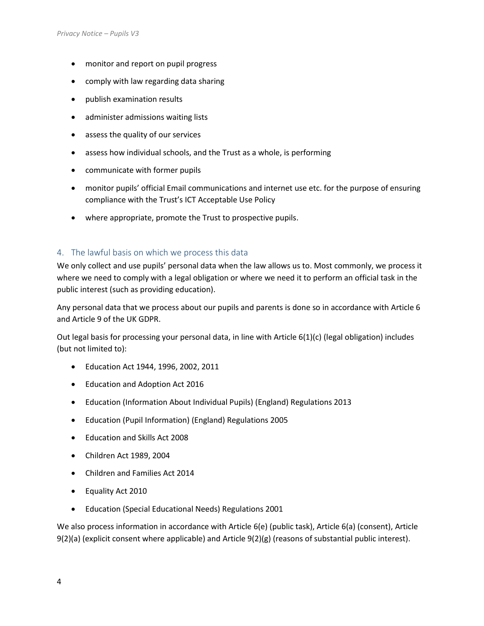- monitor and report on pupil progress
- comply with law regarding data sharing
- publish examination results
- administer admissions waiting lists
- assess the quality of our services
- assess how individual schools, and the Trust as a whole, is performing
- communicate with former pupils
- monitor pupils' official Email communications and internet use etc. for the purpose of ensuring compliance with the Trust's ICT Acceptable Use Policy
- where appropriate, promote the Trust to prospective pupils.

# <span id="page-3-0"></span>4. The lawful basis on which we process this data

We only collect and use pupils' personal data when the law allows us to. Most commonly, we process it where we need to comply with a legal obligation or where we need it to perform an official task in the public interest (such as providing education).

Any personal data that we process about our pupils and parents is done so in accordance with Article 6 and Article 9 of the UK GDPR.

Out legal basis for processing your personal data, in line with Article 6(1)(c) (legal obligation) includes (but not limited to):

- Education Act 1944, 1996, 2002, 2011
- Education and Adoption Act 2016
- Education (Information About Individual Pupils) (England) Regulations 2013
- Education (Pupil Information) (England) Regulations 2005
- Education and Skills Act 2008
- Children Act 1989, 2004
- Children and Families Act 2014
- Equality Act 2010
- Education (Special Educational Needs) Regulations 2001

We also process information in accordance with Article 6(e) (public task), Article 6(a) (consent), Article 9(2)(a) (explicit consent where applicable) and Article 9(2)(g) (reasons of substantial public interest).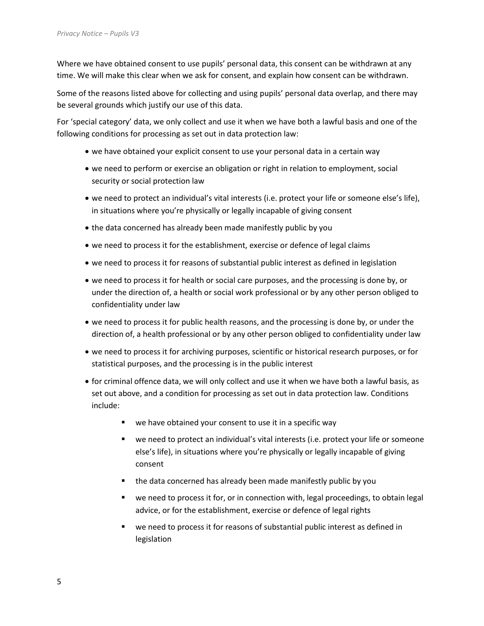Where we have obtained consent to use pupils' personal data, this consent can be withdrawn at any time. We will make this clear when we ask for consent, and explain how consent can be withdrawn.

Some of the reasons listed above for collecting and using pupils' personal data overlap, and there may be several grounds which justify our use of this data.

For 'special category' data, we only collect and use it when we have both a lawful basis and one of the following conditions for processing as set out in data protection law:

- we have obtained your explicit consent to use your personal data in a certain way
- we need to perform or exercise an obligation or right in relation to employment, social security or social protection law
- we need to protect an individual's vital interests (i.e. protect your life or someone else's life), in situations where you're physically or legally incapable of giving consent
- the data concerned has already been made manifestly public by you
- we need to process it for the establishment, exercise or defence of legal claims
- we need to process it for reasons of substantial public interest as defined in legislation
- we need to process it for health or social care purposes, and the processing is done by, or under the direction of, a health or social work professional or by any other person obliged to confidentiality under law
- we need to process it for public health reasons, and the processing is done by, or under the direction of, a health professional or by any other person obliged to confidentiality under law
- we need to process it for archiving purposes, scientific or historical research purposes, or for statistical purposes, and the processing is in the public interest
- for criminal offence data, we will only collect and use it when we have both a lawful basis, as set out above, and a condition for processing as set out in data protection law. Conditions include:
	- we have obtained your consent to use it in a specific way
	- we need to protect an individual's vital interests (i.e. protect your life or someone else's life), in situations where you're physically or legally incapable of giving consent
	- the data concerned has already been made manifestly public by you
	- we need to process it for, or in connection with, legal proceedings, to obtain legal advice, or for the establishment, exercise or defence of legal rights
	- we need to process it for reasons of substantial public interest as defined in legislation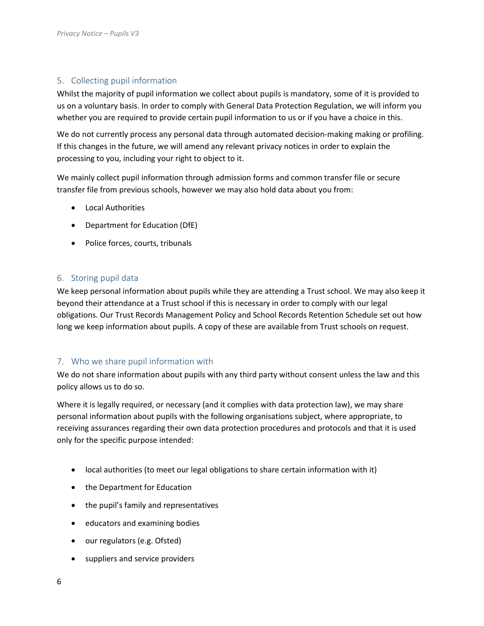# <span id="page-5-0"></span>5. Collecting pupil information

Whilst the majority of pupil information we collect about pupils is mandatory, some of it is provided to us on a voluntary basis. In order to comply with General Data Protection Regulation, we will inform you whether you are required to provide certain pupil information to us or if you have a choice in this.

We do not currently process any personal data through automated decision-making making or profiling. If this changes in the future, we will amend any relevant privacy notices in order to explain the processing to you, including your right to object to it.

We mainly collect pupil information through admission forms and common transfer file or secure transfer file from previous schools, however we may also hold data about you from:

- Local Authorities
- Department for Education (DfE)
- Police forces, courts, tribunals

# <span id="page-5-1"></span>6. Storing pupil data

We keep personal information about pupils while they are attending a Trust school. We may also keep it beyond their attendance at a Trust school if this is necessary in order to comply with our legal obligations. Our Trust Records Management Policy and School Records Retention Schedule set out how long we keep information about pupils. A copy of these are available from Trust schools on request.

# <span id="page-5-2"></span>7. Who we share pupil information with

We do not share information about pupils with any third party without consent unless the law and this policy allows us to do so.

Where it is legally required, or necessary (and it complies with data protection law), we may share personal information about pupils with the following organisations subject, where appropriate, to receiving assurances regarding their own data protection procedures and protocols and that it is used only for the specific purpose intended:

- local authorities (to meet our legal obligations to share certain information with it)
- the Department for Education
- the pupil's family and representatives
- educators and examining bodies
- our regulators (e.g. Ofsted)
- suppliers and service providers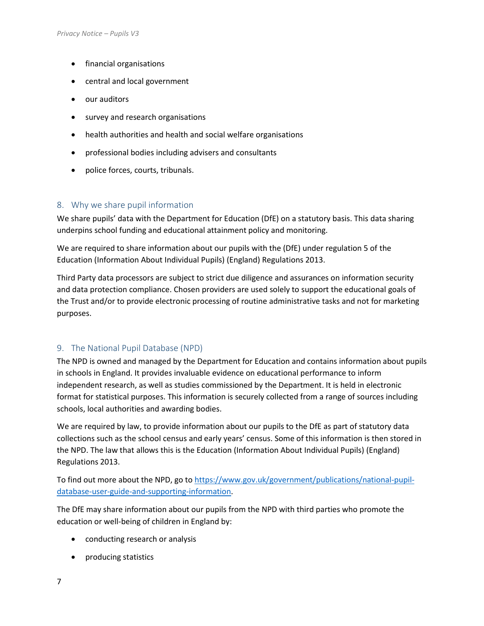- financial organisations
- central and local government
- our auditors
- survey and research organisations
- health authorities and health and social welfare organisations
- professional bodies including advisers and consultants
- police forces, courts, tribunals.

### <span id="page-6-0"></span>8. Why we share pupil information

We share pupils' data with the Department for Education (DfE) on a statutory basis. This data sharing underpins school funding and educational attainment policy and monitoring.

We are required to share information about our pupils with the (DfE) under regulation 5 of the Education (Information About Individual Pupils) (England) Regulations 2013.

Third Party data processors are subject to strict due diligence and assurances on information security and data protection compliance. Chosen providers are used solely to support the educational goals of the Trust and/or to provide electronic processing of routine administrative tasks and not for marketing purposes.

# <span id="page-6-1"></span>9. The National Pupil Database (NPD)

The NPD is owned and managed by the Department for Education and contains information about pupils in schools in England. It provides invaluable evidence on educational performance to inform independent research, as well as studies commissioned by the Department. It is held in electronic format for statistical purposes. This information is securely collected from a range of sources including schools, local authorities and awarding bodies.

We are required by law, to provide information about our pupils to the DfE as part of statutory data collections such as the school census and early years' census. Some of this information is then stored in the NPD. The law that allows this is the Education (Information About Individual Pupils) (England) Regulations 2013.

To find out more about the NPD, go to [https://www.gov.uk/government/publications/national-pupil](https://www.gov.uk/government/publications/national-pupil-database-user-guide-and-supporting-information)[database-user-guide-and-supporting-information.](https://www.gov.uk/government/publications/national-pupil-database-user-guide-and-supporting-information)

The DfE may share information about our pupils from the NPD with third parties who promote the education or well-being of children in England by:

- conducting research or analysis
- producing statistics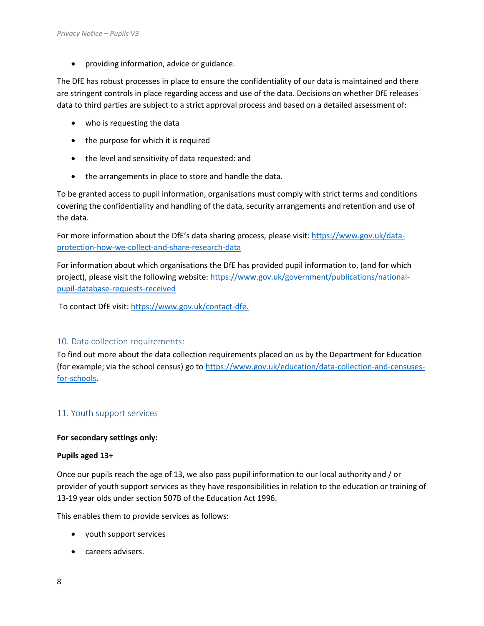• providing information, advice or guidance.

The DfE has robust processes in place to ensure the confidentiality of our data is maintained and there are stringent controls in place regarding access and use of the data. Decisions on whether DfE releases data to third parties are subject to a strict approval process and based on a detailed assessment of:

- who is requesting the data
- the purpose for which it is required
- the level and sensitivity of data requested: and
- the arrangements in place to store and handle the data.

To be granted access to pupil information, organisations must comply with strict terms and conditions covering the confidentiality and handling of the data, security arrangements and retention and use of the data.

For more information about the DfE's data sharing process, please visit: [https://www.gov.uk/data](https://www.gov.uk/data-protection-how-we-collect-and-share-research-data)[protection-how-we-collect-and-share-research-data](https://www.gov.uk/data-protection-how-we-collect-and-share-research-data)

For information about which organisations the DfE has provided pupil information to, (and for which project), please visit the following website: [https://www.gov.uk/government/publications/national](https://www.gov.uk/government/publications/national-pupil-database-requests-received)[pupil-database-requests-received](https://www.gov.uk/government/publications/national-pupil-database-requests-received)

To contact DfE visit[: https://www.gov.uk/contact-dfe.](https://www.gov.uk/contact-dfe)

# <span id="page-7-0"></span>10. Data collection requirements:

To find out more about the data collection requirements placed on us by the Department for Education (for example; via the school census) go to [https://www.gov.uk/education/data-collection-and-censuses](https://www.gov.uk/education/data-collection-and-censuses-for-schools)[for-schools.](https://www.gov.uk/education/data-collection-and-censuses-for-schools)

# <span id="page-7-1"></span>11. Youth support services

### **For secondary settings only:**

### **Pupils aged 13+**

Once our pupils reach the age of 13, we also pass pupil information to our local authority and / or provider of youth support services as they have responsibilities in relation to the education or training of 13-19 year olds under section 507B of the Education Act 1996.

This enables them to provide services as follows:

- youth support services
- careers advisers.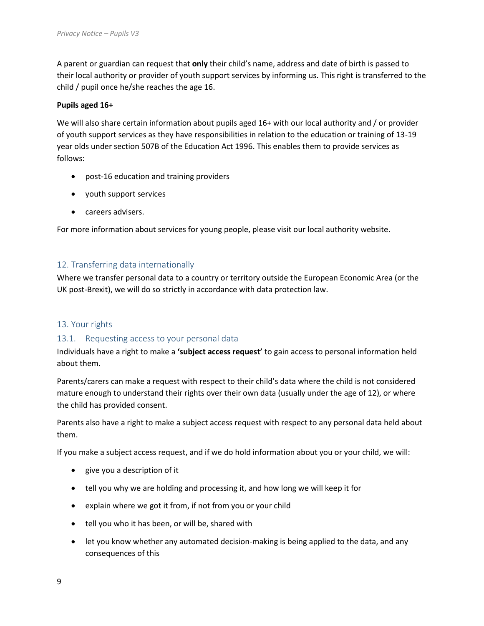A parent or guardian can request that **only** their child's name, address and date of birth is passed to their local authority or provider of youth support services by informing us. This right is transferred to the child / pupil once he/she reaches the age 16.

### **Pupils aged 16+**

We will also share certain information about pupils aged 16+ with our local authority and / or provider of youth support services as they have responsibilities in relation to the education or training of 13-19 year olds under section 507B of the Education Act 1996. This enables them to provide services as follows:

- post-16 education and training providers
- youth support services
- careers advisers.

For more information about services for young people, please visit our local authority website.

### <span id="page-8-0"></span>12. Transferring data internationally

Where we transfer personal data to a country or territory outside the European Economic Area (or the UK post-Brexit), we will do so strictly in accordance with data protection law.

# <span id="page-8-2"></span><span id="page-8-1"></span>13. Your rights

### <span id="page-8-3"></span>13.1. Requesting access to your personal data

Individuals have a right to make a **'subject access request'** to gain access to personal information held about them.

Parents/carers can make a request with respect to their child's data where the child is not considered mature enough to understand their rights over their own data (usually under the age of 12), or where the child has provided consent.

Parents also have a right to make a subject access request with respect to any personal data held about them.

If you make a subject access request, and if we do hold information about you or your child, we will:

- give you a description of it
- tell you why we are holding and processing it, and how long we will keep it for
- explain where we got it from, if not from you or your child
- tell you who it has been, or will be, shared with
- let you know whether any automated decision-making is being applied to the data, and any consequences of this